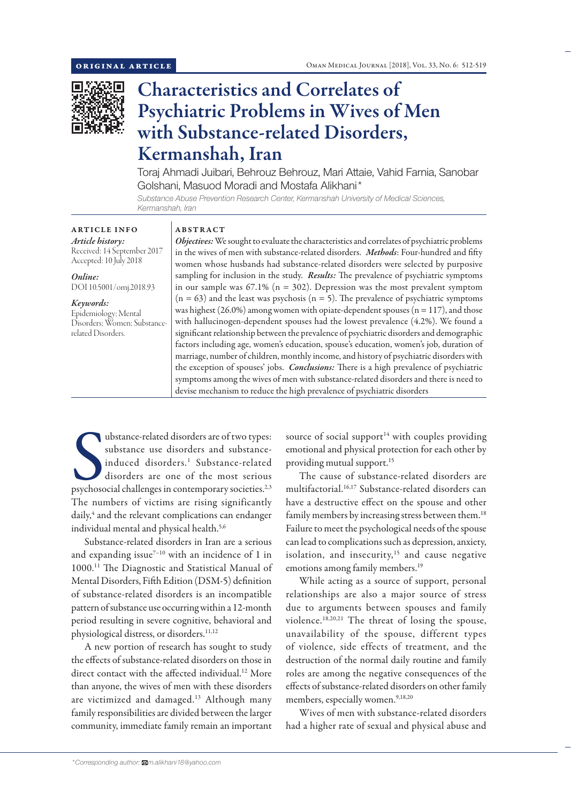

# Characteristics and Correlates of Psychiatric Problems in Wives of Men with Substance-related Disorders, Kermanshah, Iran

Toraj Ahmadi Juibari, Behrouz Behrouz, Mari Attaie, Vahid Farnia, Sanobar Golshani, Masuod Moradi and Mostafa Alikhani\*

*Substance Abuse Prevention Research Center, Kermanshah University of Medical Sciences, Kermanshah, Iran*

# ARTICLE INFO *Article history:*

Received: 14 September 2017 Accepted: 10 July 2018

*Online:* DOI 10.5001/omj.2018.93

# *Keywords:*

Epidemiology; Mental Disorders; Women; Substancerelated Disorders.

# ABSTRACT

*Objectives:* We sought to evaluate the characteristics and correlates of psychiatric problems in the wives of men with substance-related disorders. *Methods*: Four-hundred and fifty women whose husbands had substance-related disorders were selected by purposive sampling for inclusion in the study. *Results:* The prevalence of psychiatric symptoms in our sample was  $67.1\%$  (n = 302). Depression was the most prevalent symptom  $(n = 63)$  and the least was psychosis  $(n = 5)$ . The prevalence of psychiatric symptoms was highest (26.0%) among women with opiate-dependent spouses ( $n = 117$ ), and those with hallucinogen-dependent spouses had the lowest prevalence (4.2%). We found a significant relationship between the prevalence of psychiatric disorders and demographic factors including age, women's education, spouse's education, women's job, duration of marriage, number of children, monthly income, and history of psychiatric disorders with the exception of spouses' jobs. *Conclusions:* There is a high prevalence of psychiatric symptoms among the wives of men with substance-related disorders and there is need to devise mechanism to reduce the high prevalence of psychiatric disorders

ubstance-related disorders are of two types:<br>substance use disorders and substance-<br>induced disorders.<sup>1</sup> Substance-related<br>disorders are one of the most serious<br>psychosocial challenges in contemporary societies.<sup>2,3</sup> ubstance-related disorders are of two types: substance use disorders and substanceinduced disorders.1 Substance-related disorders are one of the most serious The numbers of victims are rising significantly daily,<sup>4</sup> and the relevant complications can endanger individual mental and physical health.<sup>5,6</sup>

Substance-related disorders in Iran are a serious and expanding issue $^{7-10}$  with an incidence of 1 in 1000.11 The Diagnostic and Statistical Manual of Mental Disorders, Fifth Edition (DSM-5) definition of substance-related disorders is an incompatible pattern of substance use occurring within a 12-month period resulting in severe cognitive, behavioral and physiological distress, or disorders.<sup>11,12</sup>

A new portion of research has sought to study the effects of substance-related disorders on those in direct contact with the affected individual.<sup>12</sup> More than anyone, the wives of men with these disorders are victimized and damaged.<sup>13</sup> Although many family responsibilities are divided between the larger community, immediate family remain an important

source of social support $14$  with couples providing emotional and physical protection for each other by providing mutual support.<sup>15</sup>

The cause of substance-related disorders are multifactorial.16,17 Substance-related disorders can have a destructive effect on the spouse and other family members by increasing stress between them.<sup>18</sup> Failure to meet the psychological needs of the spouse can lead to complications such as depression, anxiety, isolation, and insecurity,<sup>15</sup> and cause negative emotions among family members.<sup>19</sup>

While acting as a source of support, personal relationships are also a major source of stress due to arguments between spouses and family violence.18,20,21 The threat of losing the spouse, unavailability of the spouse, different types of violence, side effects of treatment, and the destruction of the normal daily routine and family roles are among the negative consequences of the effects of substance-related disorders on other family members, especially women.<sup>9,18,20</sup>

Wives of men with substance-related disorders had a higher rate of sexual and physical abuse and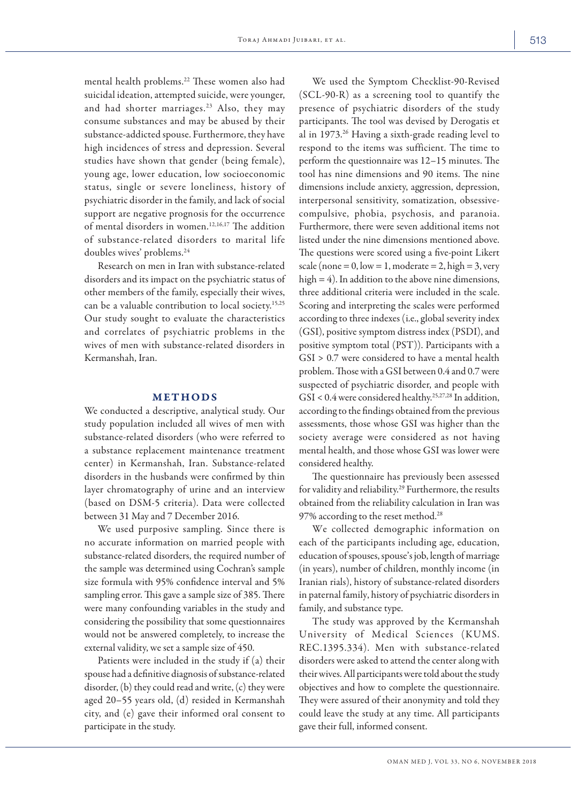mental health problems.22 These women also had suicidal ideation, attempted suicide, were younger, and had shorter marriages.<sup>23</sup> Also, they may consume substances and may be abused by their substance-addicted spouse. Furthermore, they have high incidences of stress and depression. Several studies have shown that gender (being female), young age, lower education, low socioeconomic status, single or severe loneliness, history of psychiatric disorder in the family, and lack of social support are negative prognosis for the occurrence of mental disorders in women.12,16,17 The addition of substance-related disorders to marital life doubles wives' problems.<sup>24</sup>

Research on men in Iran with substance-related disorders and its impact on the psychiatric status of other members of the family, especially their wives, can be a valuable contribution to local society.15,25 Our study sought to evaluate the characteristics and correlates of psychiatric problems in the wives of men with substance-related disorders in Kermanshah, Iran.

## METHODS

We conducted a descriptive, analytical study. Our study population included all wives of men with substance-related disorders (who were referred to a substance replacement maintenance treatment center) in Kermanshah, Iran. Substance-related disorders in the husbands were confirmed by thin layer chromatography of urine and an interview (based on DSM-5 criteria). Data were collected between 31 May and 7 December 2016.

We used purposive sampling. Since there is no accurate information on married people with substance-related disorders, the required number of the sample was determined using Cochran's sample size formula with 95% confidence interval and 5% sampling error. This gave a sample size of 385. There were many confounding variables in the study and considering the possibility that some questionnaires would not be answered completely, to increase the external validity, we set a sample size of 450.

Patients were included in the study if (a) their spouse had a definitive diagnosis of substance-related disorder, (b) they could read and write, (c) they were aged 20–55 years old, (d) resided in Kermanshah city, and (e) gave their informed oral consent to participate in the study.

We used the Symptom Checklist-90-Revised (SCL-90-R) as a screening tool to quantify the presence of psychiatric disorders of the study participants. The tool was devised by Derogatis et al in 1973.26 Having a sixth-grade reading level to respond to the items was sufficient. The time to perform the questionnaire was 12–15 minutes. The tool has nine dimensions and 90 items. The nine dimensions include anxiety, aggression, depression, interpersonal sensitivity, somatization, obsessivecompulsive, phobia, psychosis, and paranoia. Furthermore, there were seven additional items not listed under the nine dimensions mentioned above. The questions were scored using a five-point Likert scale (none =  $0$ , low =  $1$ , moderate =  $2$ , high =  $3$ , very high = 4). In addition to the above nine dimensions, three additional criteria were included in the scale. Scoring and interpreting the scales were performed according to three indexes (i.e., global severity index (GSI), positive symptom distress index (PSDI), and positive symptom total (PST)). Participants with a GSI > 0.7 were considered to have a mental health problem. Those with a GSI between 0.4 and 0.7 were suspected of psychiatric disorder, and people with GSI < 0.4 were considered healthy.25,27,28 In addition, according to the findings obtained from the previous assessments, those whose GSI was higher than the society average were considered as not having mental health, and those whose GSI was lower were considered healthy.

The questionnaire has previously been assessed for validity and reliability.29 Furthermore, the results obtained from the reliability calculation in Iran was 97% according to the reset method.<sup>28</sup>

We collected demographic information on each of the participants including age, education, education of spouses, spouse's job, length of marriage (in years), number of children, monthly income (in Iranian rials), history of substance-related disorders in paternal family, history of psychiatric disorders in family, and substance type.

The study was approved by the Kermanshah University of Medical Sciences (KUMS. REC.1395.334). Men with substance-related disorders were asked to attend the center along with their wives. All participants were told about the study objectives and how to complete the questionnaire. They were assured of their anonymity and told they could leave the study at any time. All participants gave their full, informed consent.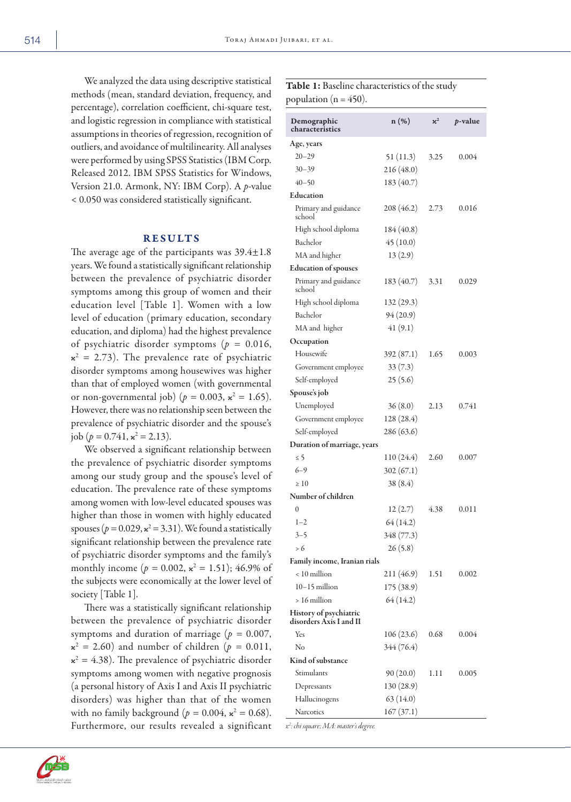We analyzed the data using descriptive statistical methods (mean, standard deviation, frequency, and percentage), correlation coefficient, chi-square test, and logistic regression in compliance with statistical assumptions in theories of regression, recognition of outliers, and avoidance of multilinearity. All analyses were performed by using SPSS Statistics (IBM Corp. Released 2012. IBM SPSS Statistics for Windows, Version 21.0. Armonk, NY: IBM Corp). A *p*-value < 0.050 was considered statistically significant.

### RESULTS

The average age of the participants was  $39.4 \pm 1.8$ years. We found a statistically significant relationship between the prevalence of psychiatric disorder symptoms among this group of women and their education level [Table 1]. Women with a low level of education (primary education, secondary education, and diploma) had the highest prevalence of psychiatric disorder symptoms (*p =* 0.016,  $x^2 = 2.73$ ). The prevalence rate of psychiatric disorder symptoms among housewives was higher than that of employed women (with governmental or non-governmental job) ( $p = 0.003$ ,  $\kappa^2 = 1.65$ ). However, there was no relationship seen between the prevalence of psychiatric disorder and the spouse's job ( $p = 0.741$ ,  $\mathbf{x}^2 = 2.13$ ).

We observed a significant relationship between the prevalence of psychiatric disorder symptoms among our study group and the spouse's level of education. The prevalence rate of these symptoms among women with low-level educated spouses was higher than those in women with highly educated spouses ( $p = 0.029$ ,  $\mathbf{x}^2 = 3.31$ ). We found a statistically significant relationship between the prevalence rate of psychiatric disorder symptoms and the family's monthly income  $(p = 0.002, \, \kappa^2 = 1.51)$ ; 46.9% of the subjects were economically at the lower level of society [Table 1].

There was a statistically significant relationship between the prevalence of psychiatric disorder symptoms and duration of marriage (*p =* 0.007,  $\mathbf{x}^2 = 2.60$ ) and number of children ( $p = 0.011$ ,  $x^2 = 4.38$ ). The prevalence of psychiatric disorder symptoms among women with negative prognosis (a personal history of Axis I and Axis II psychiatric disorders) was higher than that of the women with no family background ( $p = 0.004$ ,  $\mathbf{x}^2 = 0.68$ ). Furthermore, our results revealed a significant

# Table 1: Baseline characteristics of the study population ( $n = 450$ ).

| Demographic<br>characteristics                   | $n(\%)$    | $x^2$ | p-value |
|--------------------------------------------------|------------|-------|---------|
| Age, years                                       |            |       |         |
| $20 - 29$                                        | 51(11.3)   | 3.25  | 0.004   |
| 30–39                                            | 216(48.0)  |       |         |
| $40 - 50$                                        | 183 (40.7) |       |         |
| Education                                        |            |       |         |
| Primary and guidance<br>school                   | 208(46.2)  | 2.73  | 0.016   |
| High school diploma                              | 184 (40.8) |       |         |
| Bachelor                                         | 45(10.0)   |       |         |
| MA and higher                                    | 13(2.9)    |       |         |
| <b>Education of spouses</b>                      |            |       |         |
| Primary and guidance<br>school                   | 183 (40.7) | 3.31  | 0.029   |
| High school diploma                              | 132 (29.3) |       |         |
| Bachelor                                         | 94(20.9)   |       |         |
| MA and higher                                    | 41(9.1)    |       |         |
| Occupation                                       |            |       |         |
| Housewife                                        | 392 (87.1) | 1.65  | 0.003   |
| Government employee                              | 33(7.3)    |       |         |
| Self-employed                                    | 25(5.6)    |       |         |
| Spouse's job                                     |            |       |         |
| Unemployed                                       | 36(8.0)    | 2.13  | 0.741   |
| Government employee                              | 128 (28.4) |       |         |
| Self-employed                                    | 286(63.6)  |       |         |
| Duration of marriage, years                      |            |       |         |
| $\leq$ 5                                         | 110(24.4)  | 2.60  | 0.007   |
| 6–9                                              | 302(67.1)  |       |         |
| $\geq 10$                                        | 38 (8.4)   |       |         |
| Number of children                               |            |       |         |
| $\mathbf{0}$                                     | 12(2.7)    | 4.38  | 0.011   |
| $1 - 2$                                          | 64 (14.2)  |       |         |
| 3–5                                              | 348 (77.3) |       |         |
| > 6                                              | 26(5.8)    |       |         |
| Family income, Iranian rials                     |            |       |         |
| < 10 million                                     | 211(46.9)  | 1.51  | 0.002   |
| $10-15$ million                                  | 175 (38.9) |       |         |
| $>16$ million                                    | 64 (14.2)  |       |         |
| History of psychiatric<br>disorders Axis Land II |            |       |         |
| Yes                                              | 106(23.6)  | 0.68  | 0.004   |
| No                                               | 344 (76.4) |       |         |
| Kind of substance                                |            |       |         |
| Stimulants                                       | 90(20.0)   | 1.11  | 0.005   |
| Depressants                                      | 130 (28.9) |       |         |
| Hallucinogens                                    | 63(14.0)   |       |         |
| <b>Narcotics</b>                                 | 167(37.1)  |       |         |
|                                                  |            |       |         |

*ϰ2 : chi square; MA: master's degree.*

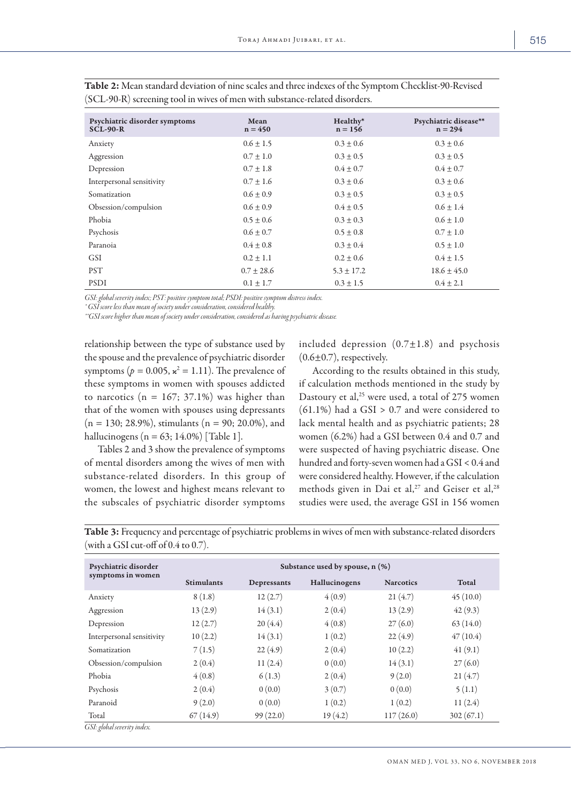| Psychiatric disorder symptoms<br><b>SCL-90-R</b> | Mean<br>$n = 450$ | Healthy*<br>$n = 156$ | Psychiatric disease**<br>$n = 294$ |
|--------------------------------------------------|-------------------|-----------------------|------------------------------------|
| Anxiety                                          | $0.6 \pm 1.5$     | $0.3 \pm 0.6$         | $0.3 \pm 0.6$                      |
| Aggression                                       | $0.7 \pm 1.0$     | $0.3 \pm 0.5$         | $0.3 \pm 0.5$                      |
| Depression                                       | $0.7 \pm 1.8$     | $0.4 \pm 0.7$         | $0.4 \pm 0.7$                      |
| Interpersonal sensitivity                        | $0.7 \pm 1.6$     | $0.3 \pm 0.6$         | $0.3 \pm 0.6$                      |
| Somatization                                     | $0.6 \pm 0.9$     | $0.3 \pm 0.5$         | $0.3 \pm 0.5$                      |
| Obsession/compulsion                             | $0.6 \pm 0.9$     | $0.4 \pm 0.5$         | $0.6 \pm 1.4$                      |
| Phobia                                           | $0.5 \pm 0.6$     | $0.3 \pm 0.3$         | $0.6 \pm 1.0$                      |
| Psychosis                                        | $0.6 \pm 0.7$     | $0.5 \pm 0.8$         | $0.7 \pm 1.0$                      |
| Paranoia                                         | $0.4 \pm 0.8$     | $0.3 \pm 0.4$         | $0.5 \pm 1.0$                      |
| <b>GSI</b>                                       | $0.2 \pm 1.1$     | $0.2 \pm 0.6$         | $0.4 \pm 1.5$                      |
| <b>PST</b>                                       | $0.7 \pm 28.6$    | $5.3 \pm 17.2$        | $18.6 \pm 45.0$                    |
| <b>PSDI</b>                                      | $0.1 \pm 1.7$     | $0.3 \pm 1.5$         | $0.4 \pm 2.1$                      |

Table 2: Mean standard deviation of nine scales and three indexes of the Symptom Checklist-90-Revised (SCL-90-R) screening tool in wives of men with substance-related disorders.

*GSI: global severity index; PST: positive symptom total; PSDI: positive symptom distress index.*

*\* GSI score less than mean of society under consideration, considered healthy.*

*\*\*GSI score higher than mean of society under consideration, considered as having psychiatric disease.*

relationship between the type of substance used by the spouse and the prevalence of psychiatric disorder symptoms ( $p = 0.005$ ,  $\kappa^2 = 1.11$ ). The prevalence of these symptoms in women with spouses addicted to narcotics  $(n = 167; 37.1%)$  was higher than that of the women with spouses using depressants  $(n = 130; 28.9\%)$ , stimulants  $(n = 90; 20.0\%)$ , and hallucinogens ( $n = 63$ ; 14.0%) [Table 1].

Tables 2 and 3 show the prevalence of symptoms of mental disorders among the wives of men with substance-related disorders. In this group of women, the lowest and highest means relevant to the subscales of psychiatric disorder symptoms

included depression  $(0.7\pm1.8)$  and psychosis  $(0.6\pm0.7)$ , respectively.

According to the results obtained in this study, if calculation methods mentioned in the study by Dastoury et al,<sup>25</sup> were used, a total of 275 women  $(61.1\%)$  had a GSI > 0.7 and were considered to lack mental health and as psychiatric patients; 28 women (6.2%) had a GSI between 0.4 and 0.7 and were suspected of having psychiatric disease. One hundred and forty-seven women had a GSI < 0.4 and were considered healthy. However, if the calculation methods given in Dai et al,<sup>27</sup> and Geiser et al,<sup>28</sup> studies were used, the average GSI in 156 women

| Psychiatric disorder<br>symptoms in women | Substance used by spouse, n (%) |             |               |                  |           |  |  |  |
|-------------------------------------------|---------------------------------|-------------|---------------|------------------|-----------|--|--|--|
|                                           | <b>Stimulants</b>               | Depressants | Hallucinogens | <b>Narcotics</b> | Total     |  |  |  |
| Anxiety                                   | 8(1.8)                          | 12(2.7)     | 4(0.9)        | 21(4.7)          | 45(10.0)  |  |  |  |
| Aggression                                | 13(2.9)                         | 14(3.1)     | 2(0.4)        | 13(2.9)          | 42(9.3)   |  |  |  |
| Depression                                | 12(2.7)                         | 20(4.4)     | 4(0.8)        | 27(6.0)          | 63(14.0)  |  |  |  |
| Interpersonal sensitivity                 | 10(2.2)                         | 14(3.1)     | 1(0.2)        | 22(4.9)          | 47(10.4)  |  |  |  |
| Somatization                              | 7(1.5)                          | 22(4.9)     | 2(0.4)        | 10(2.2)          | 41(9.1)   |  |  |  |
| Obsession/compulsion                      | 2(0.4)                          | 11(2.4)     | 0(0.0)        | 14(3.1)          | 27(6.0)   |  |  |  |
| Phobia                                    | 4(0.8)                          | 6(1.3)      | 2(0.4)        | 9(2.0)           | 21(4.7)   |  |  |  |
| Psychosis                                 | 2(0.4)                          | 0(0.0)      | 3(0.7)        | 0(0.0)           | 5(1.1)    |  |  |  |
| Paranoid                                  | 9(2.0)                          | 0(0.0)      | 1(0.2)        | 1(0.2)           | 11(2.4)   |  |  |  |
| Total                                     | 67(14.9)                        | 99(22.0)    | 19(4.2)       | 117(26.0)        | 302(67.1) |  |  |  |

Table 3: Frequency and percentage of psychiatric problems in wives of men with substance-related disorders (with a GSI cut-off of 0.4 to 0.7).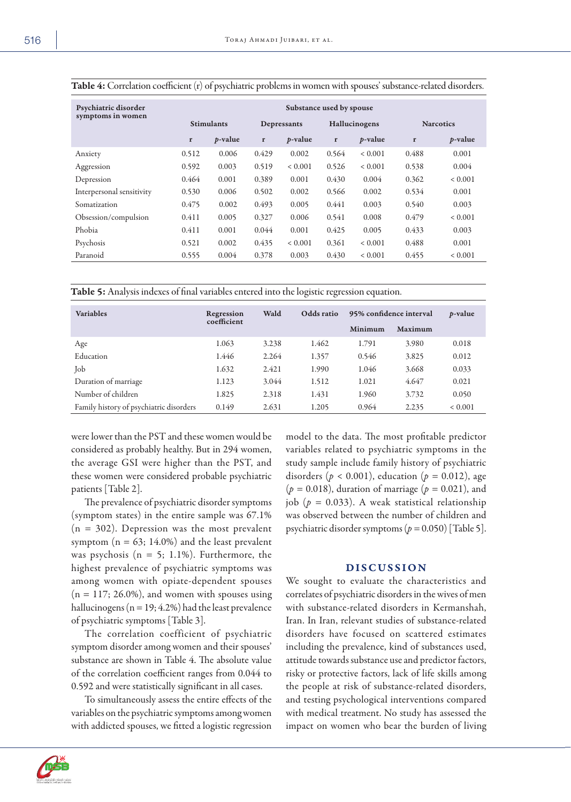| Psychiatric disorder<br>symptoms in women | Substance used by spouse |                 |       |                 |       |                 |       |                  |
|-------------------------------------------|--------------------------|-----------------|-------|-----------------|-------|-----------------|-------|------------------|
|                                           | <b>Stimulants</b>        |                 |       | Depressants     |       | Hallucinogens   |       | <b>Narcotics</b> |
|                                           | $\mathbf r$              | <i>p</i> -value | r     | <i>p</i> -value | r     | <i>p</i> -value | r     | <i>p</i> -value  |
| Anxiety                                   | 0.512                    | 0.006           | 0.429 | 0.002           | 0.564 | ${}< 0.001$     | 0.488 | 0.001            |
| Aggression                                | 0.592                    | 0.003           | 0.519 | ${}< 0.001$     | 0.526 | ${}< 0.001$     | 0.538 | 0.004            |
| Depression                                | 0.464                    | 0.001           | 0.389 | 0.001           | 0.430 | 0.004           | 0.362 | < 0.001          |
| Interpersonal sensitivity                 | 0.530                    | 0.006           | 0.502 | 0.002           | 0.566 | 0.002           | 0.534 | 0.001            |
| Somatization                              | 0.475                    | 0.002           | 0.493 | 0.005           | 0.441 | 0.003           | 0.540 | 0.003            |
| Obsession/compulsion                      | 0.411                    | 0.005           | 0.327 | 0.006           | 0.541 | 0.008           | 0.479 | < 0.001          |
| Phobia                                    | 0.411                    | 0.001           | 0.044 | 0.001           | 0.425 | 0.005           | 0.433 | 0.003            |
| Psychosis                                 | 0.521                    | 0.002           | 0.435 | ${}< 0.001$     | 0.361 | ${}< 0.001$     | 0.488 | 0.001            |
| Paranoid                                  | 0.555                    | 0.004           | 0.378 | 0.003           | 0.430 | ${}< 0.001$     | 0.455 | ${}< 0.001$      |

Table 4: Correlation coefficient (r) of psychiatric problems in women with spouses' substance-related disorders.

Table 5: Analysis indexes of final variables entered into the logistic regression equation.

| <b>Variables</b>                        | Regression<br>coefficient | Wald  | Odds ratio | 95% confidence interval |         | <i>p</i> -value |
|-----------------------------------------|---------------------------|-------|------------|-------------------------|---------|-----------------|
|                                         |                           |       |            | Minimum                 | Maximum |                 |
| Age                                     | 1.063                     | 3.238 | 1.462      | 1.791                   | 3.980   | 0.018           |
| Education                               | 1.446                     | 2.264 | 1.357      | 0.546                   | 3.825   | 0.012           |
| Job                                     | 1.632                     | 2.421 | 1.990      | 1.046                   | 3.668   | 0.033           |
| Duration of marriage                    | 1.123                     | 3.044 | 1.512      | 1.021                   | 4.647   | 0.021           |
| Number of children                      | 1.825                     | 2.318 | 1.431      | 1.960                   | 3.732   | 0.050           |
| Family history of psychiatric disorders | 0.149                     | 2.631 | 1.205      | 0.964                   | 2.235   | ${}< 0.001$     |

were lower than the PST and these women would be considered as probably healthy. But in 294 women, the average GSI were higher than the PST, and these women were considered probable psychiatric patients [Table 2].

The prevalence of psychiatric disorder symptoms (symptom states) in the entire sample was 67.1%  $(n = 302)$ . Depression was the most prevalent symptom ( $n = 63$ ; 14.0%) and the least prevalent was psychosis ( $n = 5$ ; 1.1%). Furthermore, the highest prevalence of psychiatric symptoms was among women with opiate-dependent spouses  $(n = 117; 26.0\%)$ , and women with spouses using hallucinogens ( $n = 19$ ; 4.2%) had the least prevalence of psychiatric symptoms [Table 3].

The correlation coefficient of psychiatric symptom disorder among women and their spouses' substance are shown in Table 4. The absolute value of the correlation coefficient ranges from 0.044 to 0.592 and were statistically significant in all cases.

To simultaneously assess the entire effects of the variables on the psychiatric symptoms among women with addicted spouses, we fitted a logistic regression model to the data. The most profitable predictor variables related to psychiatric symptoms in the study sample include family history of psychiatric disorders ( $p < 0.001$ ), education ( $p = 0.012$ ), age (*p =* 0.018), duration of marriage (*p =* 0.021), and job (*p =* 0.033). A weak statistical relationship was observed between the number of children and psychiatric disorder symptoms (*p =* 0.050) [Table 5].

## DISCUSSION

We sought to evaluate the characteristics and correlates of psychiatric disorders in the wives of men with substance-related disorders in Kermanshah, Iran. In Iran, relevant studies of substance-related disorders have focused on scattered estimates including the prevalence, kind of substances used, attitude towards substance use and predictor factors, risky or protective factors, lack of life skills among the people at risk of substance-related disorders, and testing psychological interventions compared with medical treatment. No study has assessed the impact on women who bear the burden of living

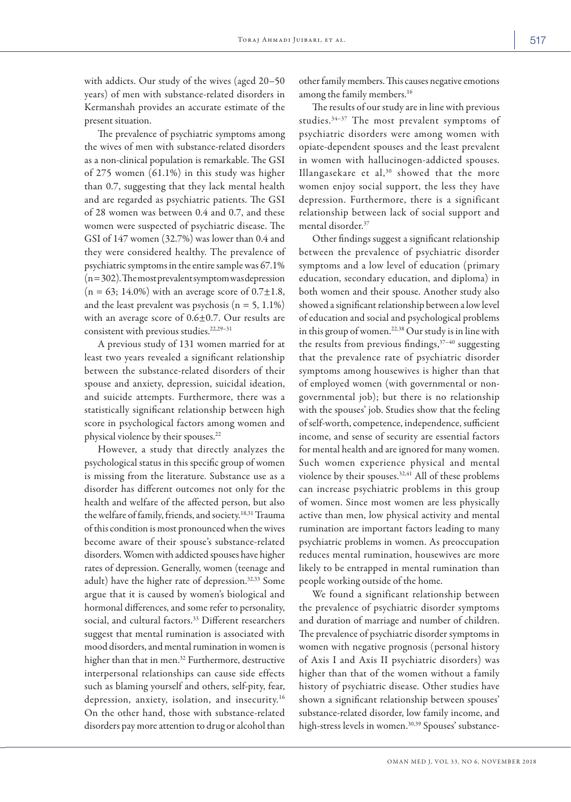with addicts. Our study of the wives (aged 20–50 years) of men with substance-related disorders in Kermanshah provides an accurate estimate of the present situation.

The prevalence of psychiatric symptoms among the wives of men with substance-related disorders as a non-clinical population is remarkable. The GSI of 275 women (61.1%) in this study was higher than 0.7, suggesting that they lack mental health and are regarded as psychiatric patients. The GSI of 28 women was between 0.4 and 0.7, and these women were suspected of psychiatric disease. The GSI of 147 women (32.7%) was lower than 0.4 and they were considered healthy. The prevalence of psychiatric symptoms in the entire sample was 67.1% (n = 302). The most prevalent symptom was depression  $(n = 63; 14.0\%)$  with an average score of  $0.7 \pm 1.8$ , and the least prevalent was psychosis  $(n = 5, 1.1\%)$ with an average score of 0.6±0.7. Our results are consistent with previous studies.<sup>22,29-31</sup>

A previous study of 131 women married for at least two years revealed a significant relationship between the substance-related disorders of their spouse and anxiety, depression, suicidal ideation, and suicide attempts. Furthermore, there was a statistically significant relationship between high score in psychological factors among women and physical violence by their spouses.<sup>22</sup>

However, a study that directly analyzes the psychological status in this specific group of women is missing from the literature. Substance use as a disorder has different outcomes not only for the health and welfare of the affected person, but also the welfare of family, friends, and society.18,31 Trauma of this condition is most pronounced when the wives become aware of their spouse's substance-related disorders. Women with addicted spouses have higher rates of depression. Generally, women (teenage and adult) have the higher rate of depression.32,33 Some argue that it is caused by women's biological and hormonal differences, and some refer to personality, social, and cultural factors.<sup>33</sup> Different researchers suggest that mental rumination is associated with mood disorders, and mental rumination in women is higher than that in men.<sup>32</sup> Furthermore, destructive interpersonal relationships can cause side effects such as blaming yourself and others, self-pity, fear, depression, anxiety, isolation, and insecurity.16 On the other hand, those with substance-related disorders pay more attention to drug or alcohol than other family members. This causes negative emotions among the family members.<sup>16</sup>

The results of our study are in line with previous studies.34–37 The most prevalent symptoms of psychiatric disorders were among women with opiate-dependent spouses and the least prevalent in women with hallucinogen-addicted spouses. Illangasekare et al, $30$  showed that the more women enjoy social support, the less they have depression. Furthermore, there is a significant relationship between lack of social support and mental disorder.37

Other findings suggest a significant relationship between the prevalence of psychiatric disorder symptoms and a low level of education (primary education, secondary education, and diploma) in both women and their spouse. Another study also showed a significant relationship between a low level of education and social and psychological problems in this group of women.22,38 Our study is in line with the results from previous findings,  $37-40$  suggesting that the prevalence rate of psychiatric disorder symptoms among housewives is higher than that of employed women (with governmental or nongovernmental job); but there is no relationship with the spouses' job. Studies show that the feeling of self-worth, competence, independence, sufficient income, and sense of security are essential factors for mental health and are ignored for many women. Such women experience physical and mental violence by their spouses.<sup>32,41</sup> All of these problems can increase psychiatric problems in this group of women. Since most women are less physically active than men, low physical activity and mental rumination are important factors leading to many psychiatric problems in women. As preoccupation reduces mental rumination, housewives are more likely to be entrapped in mental rumination than people working outside of the home.

We found a significant relationship between the prevalence of psychiatric disorder symptoms and duration of marriage and number of children. The prevalence of psychiatric disorder symptoms in women with negative prognosis (personal history of Axis I and Axis II psychiatric disorders) was higher than that of the women without a family history of psychiatric disease. Other studies have shown a significant relationship between spouses' substance-related disorder, low family income, and high-stress levels in women.<sup>30,39</sup> Spouses' substance-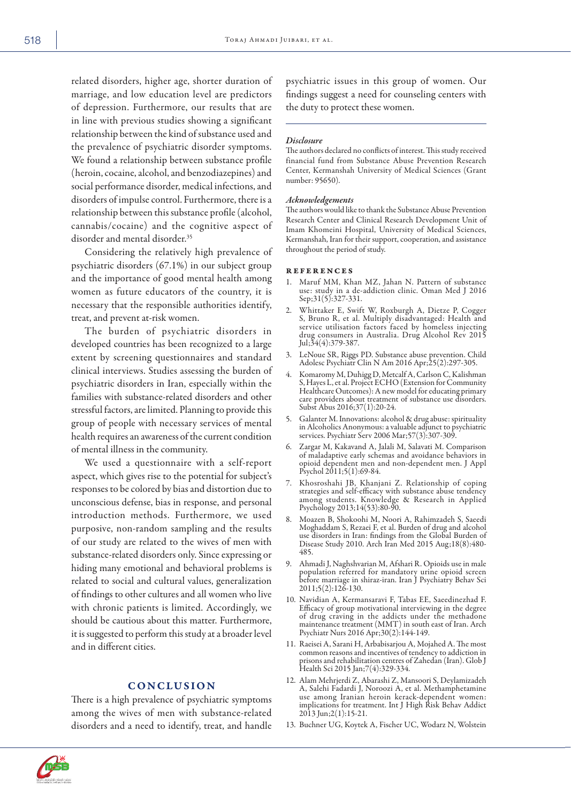related disorders, higher age, shorter duration of marriage, and low education level are predictors of depression. Furthermore, our results that are in line with previous studies showing a significant relationship between the kind of substance used and the prevalence of psychiatric disorder symptoms. We found a relationship between substance profile (heroin, cocaine, alcohol, and benzodiazepines) and social performance disorder, medical infections, and disorders of impulse control. Furthermore, there is a relationship between this substance profile (alcohol, cannabis/cocaine) and the cognitive aspect of disorder and mental disorder.<sup>35</sup>

Considering the relatively high prevalence of psychiatric disorders (67.1%) in our subject group and the importance of good mental health among women as future educators of the country, it is necessary that the responsible authorities identify, treat, and prevent at-risk women.

The burden of psychiatric disorders in developed countries has been recognized to a large extent by screening questionnaires and standard clinical interviews. Studies assessing the burden of psychiatric disorders in Iran, especially within the families with substance-related disorders and other stressful factors, are limited. Planning to provide this group of people with necessary services of mental health requires an awareness of the current condition of mental illness in the community.

We used a questionnaire with a self-report aspect, which gives rise to the potential for subject's responses to be colored by bias and distortion due to unconscious defense, bias in response, and personal introduction methods. Furthermore, we used purposive, non-random sampling and the results of our study are related to the wives of men with substance-related disorders only. Since expressing or hiding many emotional and behavioral problems is related to social and cultural values, generalization of findings to other cultures and all women who live with chronic patients is limited. Accordingly, we should be cautious about this matter. Furthermore, it is suggested to perform this study at a broader level and in different cities.

## CONCLUSION

There is a high prevalence of psychiatric symptoms among the wives of men with substance-related disorders and a need to identify, treat, and handle

psychiatric issues in this group of women. Our findings suggest a need for counseling centers with the duty to protect these women.

#### *Disclosure*

The authors declared no conflicts of interest. This study received financial fund from Substance Abuse Prevention Research Center, Kermanshah University of Medical Sciences (Grant number: 95650).

#### *Acknowledgements*

The authors would like to thank the Substance Abuse Prevention Research Center and Clinical Research Development Unit of Imam Khomeini Hospital, University of Medical Sciences, Kermanshah, Iran for their support, cooperation, and assistance throughout the period of study.

#### references

- 1. Maruf MM, Khan MZ, Jahan N. Pattern of substance use: study in a de-addiction clinic. Oman Med J 2016 Sep;31(5):327-331.
- 2. Whittaker E, Swift W, Roxburgh A, Dietze P, Cogger S, Bruno R, et al. Multiply disadvantaged: Health and service utilisation factors faced by homeless injecting drug consumers in Australia. Drug Alcohol Rev 2015 Jul;34(4):379-387.
- 3. LeNoue SR, Riggs PD. Substance abuse prevention. Child Adolesc Psychiatr Clin N Am 2016 Apr;25(2):297-305.
- 4. Komaromy M, Duhigg D, Metcalf A, Carlson C, Kalishman Healthcare Outcomes): A new model for educating primary care providers about treatment of substance use disorders. Subst Abus 2016;37(1):20-24.
- 5. Galanter M. Innovations: alcohol & drug abuse: spirituality in Alcoholics Anonymous: a valuable adjunct to psychiatric services. Psychiatr Serv 2006 Mar;57(3):307-309.
- 6. Zargar M, Kakavand A, Jalali M, Salavati M. Comparison of maladaptive early schemas and avoidance behaviors in opioid dependent men and non-dependent men. J Appl Psychol 2011;5(1):69-84.
- 7. Khosroshahi JB, Khanjani Z. Relationship of coping strategies and self-efficacy with substance abuse tendency among students. Knowledge & Research in Applied Psychology 2013;14(53):80-90.
- Moazen B, Shokoohi M, Noori A, Rahimzadeh S, Saeedi<br>Moghaddam S, Rezaei F, et al. Burden of drug and alcohol Moghaddam S, Rezaei F, et al. Burden of drug and alcohol use disorders in Iran: findings from the Global Burden of Disease Study 2010. Arch Iran Med 2015 Aug;18(8):480-<br>485.
- 9. Ahmadi J, Naghshvarian M, Afshari R. Opioids use in male population referred for mandatory urine opioid screen before marriage in shiraz-iran. Iran J Psychiatry Behav Sci 2011;5(2):126-130.
- 10. Navidian A, Kermansaravi F, Tabas EE, Saeedinezhad F. Efficacy of group motivational interviewing in the degree of drug craving in the addicts under the methadone maintenance treatment (MMT) in south east of Iran. Arch Psychiatr Nurs 2016 Apr;30(2):144-149.
- 11. Raeisei A, Sarani H, Arbabisarjou A, Mojahed A. The most common reasons and incentives of tendency to addiction in prisons and rehabilitation centres of Zahedan (Iran). Glob J Health Sci 2015 Jan;7(4):329-334.
- 12. Alam Mehrjerdi Z, Abarashi Z, Mansoori S, Deylamizadeh use among Iranian heroin kerack-dependent women: implications for treatment. Int J High Risk Behav Addict 2013 Jun;2(1):15-21.
- 13. Buchner UG, Koytek A, Fischer UC, Wodarz N, Wolstein